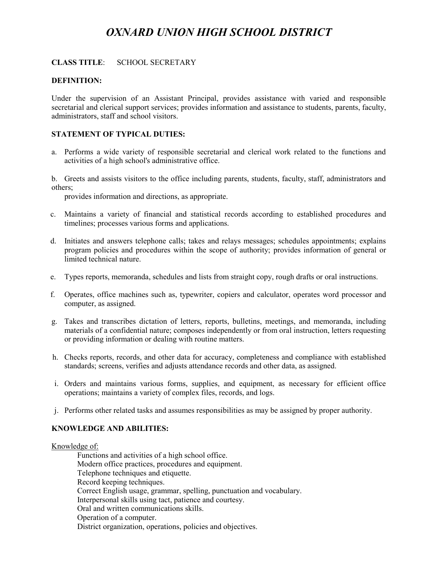# *OXNARD UNION HIGH SCHOOL DISTRICT*

#### **CLASS TITLE**: SCHOOL SECRETARY

#### **DEFINITION:**

Under the supervision of an Assistant Principal, provides assistance with varied and responsible secretarial and clerical support services; provides information and assistance to students, parents, faculty, administrators, staff and school visitors.

## **STATEMENT OF TYPICAL DUTIES:**

a. Performs a wide variety of responsible secretarial and clerical work related to the functions and activities of a high school's administrative office.

b. Greets and assists visitors to the office including parents, students, faculty, staff, administrators and others;

provides information and directions, as appropriate.

- c. Maintains a variety of financial and statistical records according to established procedures and timelines; processes various forms and applications.
- d. Initiates and answers telephone calls; takes and relays messages; schedules appointments; explains program policies and procedures within the scope of authority; provides information of general or limited technical nature.
- e. Types reports, memoranda, schedules and lists from straight copy, rough drafts or oral instructions.
- f. Operates, office machines such as, typewriter, copiers and calculator, operates word processor and computer, as assigned.
- g. Takes and transcribes dictation of letters, reports, bulletins, meetings, and memoranda, including materials of a confidential nature; composes independently or from oral instruction, letters requesting or providing information or dealing with routine matters.
- h. Checks reports, records, and other data for accuracy, completeness and compliance with established standards; screens, verifies and adjusts attendance records and other data, as assigned.
- i. Orders and maintains various forms, supplies, and equipment, as necessary for efficient office operations; maintains a variety of complex files, records, and logs.
- j. Performs other related tasks and assumes responsibilities as may be assigned by proper authority.

#### **KNOWLEDGE AND ABILITIES:**

Knowledge of:

Functions and activities of a high school office. Modern office practices, procedures and equipment. Telephone techniques and etiquette. Record keeping techniques. Correct English usage, grammar, spelling, punctuation and vocabulary. Interpersonal skills using tact, patience and courtesy. Oral and written communications skills. Operation of a computer. District organization, operations, policies and objectives.